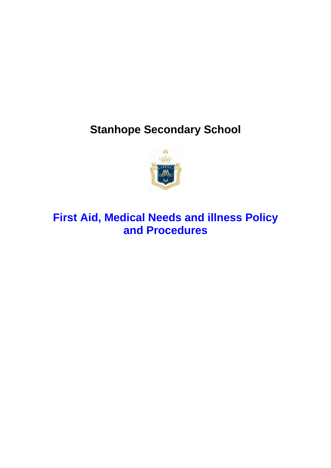# **Stanhope Secondary School**



## **First Aid, Medical Needs and illness Policy and Procedures**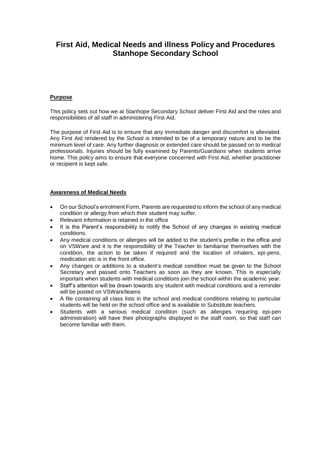### **First Aid, Medical Needs and illness Policy and Procedures Stanhope Secondary School**

#### **Purpose**

This policy sets out how we at Stanhope Secondary School deliver First Aid and the roles and responsibilities of all staff in administering First Aid.

The purpose of First Aid is to ensure that any immediate danger and discomfort is alleviated. Any First Aid rendered by the School is intended to be of a temporary nature and to be the minimum level of care. Any further diagnosis or extended care should be passed on to medical professionals. Injuries should be fully examined by Parents/Guardians when students arrive home. This policy aims to ensure that everyone concerned with First Aid, whether practitioner or recipient is kept safe.

#### **Awareness of Medical Needs**

- On our School's enrolment Form, Parents are requested to inform the school of any medical condition or allergy from which their student may suffer.
- Relevant information is retained in the office
- It is the Parent's responsibility to notify the School of any changes in existing medical conditions.
- Any medical conditions or allergies will be added to the student's profile in the office and on VSWare and it is the responsibility of the Teacher to familiarise themselves with the condition, the action to be taken if required and the location of inhalers, epi-pens, medication etc is in the front office.
- Any changes or additions to a student's medical condition must be given to the School Secretary and passed onto Teachers as soon as they are known. This is especially important when students with medical conditions join the school within the academic year.
- Staff's attention will be drawn towards any student with medical conditions and a reminder will be posted on VSWare/teams
- A file containing all class lists in the school and medical conditions relating to particular students will be held on the school office and is available to Substitute teachers.
- Students with a serious medical condition (such as allergies requiring epi-pen administration) will have their photographs displayed in the staff room, so that staff can become familiar with them.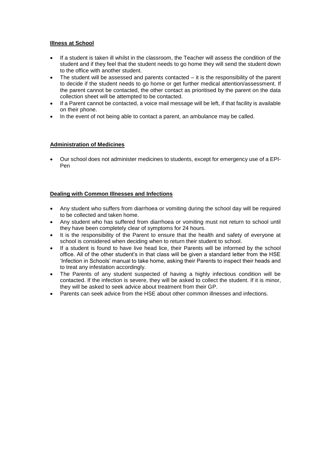#### **Illness at School**

- If a student is taken ill whilst in the classroom, the Teacher will assess the condition of the student and if they feel that the student needs to go home they will send the student down to the office with another student.
- The student will be assessed and parents contacted it is the responsibility of the parent to decide if the student needs to go home or get further medical attention/assessment. If the parent cannot be contacted, the other contact as prioritised by the parent on the data collection sheet will be attempted to be contacted.
- If a Parent cannot be contacted, a voice mail message will be left, if that facility is available on their phone.
- In the event of not being able to contact a parent, an ambulance may be called.

#### **Administration of Medicines**

 Our school does not administer medicines to students, except for emergency use of a EPI-Pen

#### **Dealing with Common Illnesses and Infections**

- Any student who suffers from diarrhoea or vomiting during the school day will be required to be collected and taken home.
- Any student who has suffered from diarrhoea or vomiting must not return to school until they have been completely clear of symptoms for 24 hours.
- It is the responsibility of the Parent to ensure that the health and safety of everyone at school is considered when deciding when to return their student to school.
- If a student is found to have live head lice, their Parents will be informed by the school office. All of the other student's in that class will be given a standard letter from the HSE 'Infection in Schools' manual to take home, asking their Parents to inspect their heads and to treat any infestation accordingly.
- The Parents of any student suspected of having a highly infectious condition will be contacted. If the infection is severe, they will be asked to collect the student. If it is minor, they will be asked to seek advice about treatment from their GP.
- Parents can seek advice from the HSE about other common illnesses and infections.